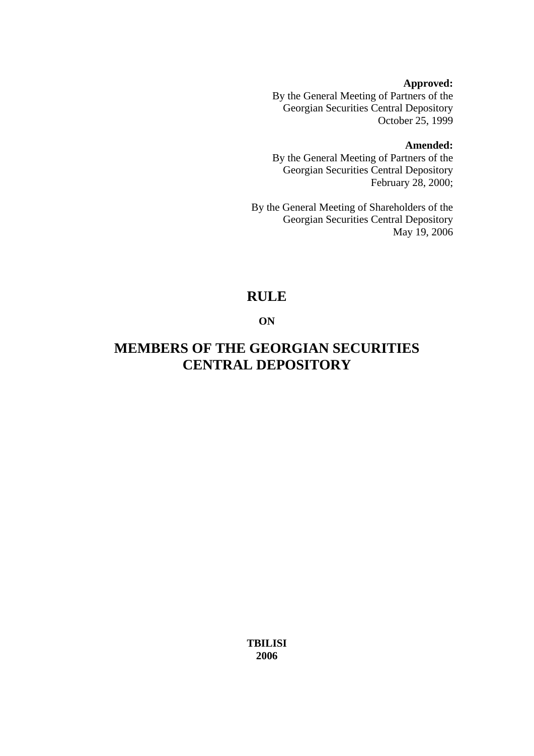#### **Approved:**

By the General Meeting of Partners of the Georgian Securities Central Depository October 25, 1999

#### **Amended:**

By the General Meeting of Partners of the Georgian Securities Central Depository February 28, 2000;

By the General Meeting of Shareholders of the Georgian Securities Central Depository May 19, 2006

# **RULE**

**ON** 

# **MEMBERS OF THE GEORGIAN SECURITIES CENTRAL DEPOSITORY**

**TBILISI 2006**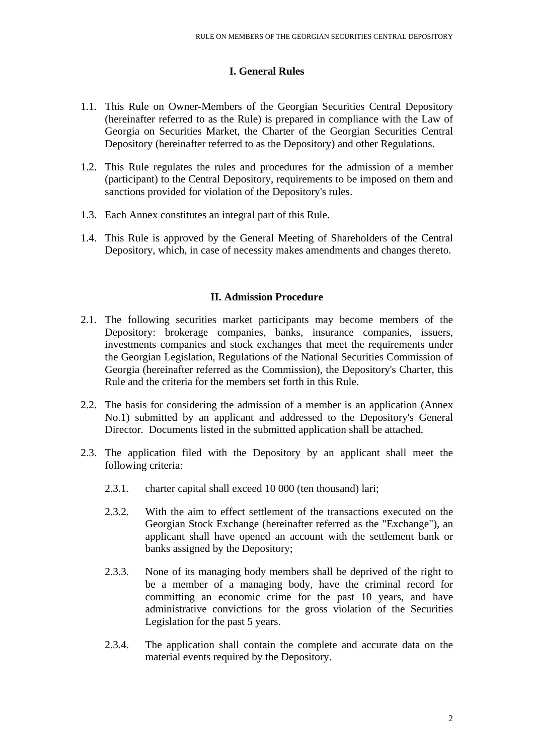#### **I. General Rules**

- 1.1. This Rule on Owner-Members of the Georgian Securities Central Depository (hereinafter referred to as the Rule) is prepared in compliance with the Law of Georgia on Securities Market, the Charter of the Georgian Securities Central Depository (hereinafter referred to as the Depository) and other Regulations.
- 1.2. This Rule regulates the rules and procedures for the admission of a member (participant) to the Central Depository, requirements to be imposed on them and sanctions provided for violation of the Depository's rules.
- 1.3. Each Annex constitutes an integral part of this Rule.
- 1.4. This Rule is approved by the General Meeting of Shareholders of the Central Depository, which, in case of necessity makes amendments and changes thereto.

#### **II. Admission Procedure**

- 2.1. The following securities market participants may become members of the Depository: brokerage companies, banks, insurance companies, issuers, investments companies and stock exchanges that meet the requirements under the Georgian Legislation, Regulations of the National Securities Commission of Georgia (hereinafter referred as the Commission), the Depository's Charter, this Rule and the criteria for the members set forth in this Rule.
- 2.2. The basis for considering the admission of a member is an application (Annex No.1) submitted by an applicant and addressed to the Depository's General Director. Documents listed in the submitted application shall be attached.
- 2.3. The application filed with the Depository by an applicant shall meet the following criteria:
	- 2.3.1. charter capital shall exceed 10 000 (ten thousand) lari;
	- 2.3.2. With the aim to effect settlement of the transactions executed on the Georgian Stock Exchange (hereinafter referred as the "Exchange"), an applicant shall have opened an account with the settlement bank or banks assigned by the Depository;
	- 2.3.3. None of its managing body members shall be deprived of the right to be a member of a managing body, have the criminal record for committing an economic crime for the past 10 years, and have administrative convictions for the gross violation of the Securities Legislation for the past 5 years.
	- 2.3.4. The application shall contain the complete and accurate data on the material events required by the Depository.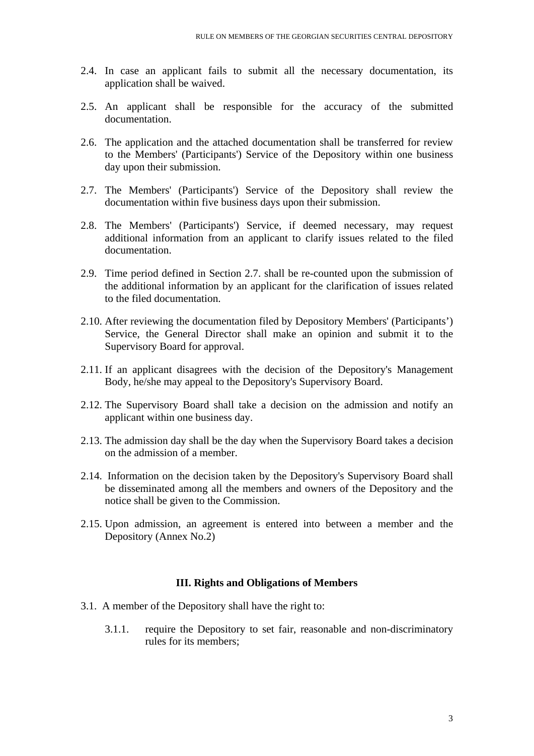- 2.4. In case an applicant fails to submit all the necessary documentation, its application shall be waived.
- 2.5. An applicant shall be responsible for the accuracy of the submitted documentation.
- 2.6. The application and the attached documentation shall be transferred for review to the Members' (Participants') Service of the Depository within one business day upon their submission.
- 2.7. The Members' (Participants') Service of the Depository shall review the documentation within five business days upon their submission.
- 2.8. The Members' (Participants') Service, if deemed necessary, may request additional information from an applicant to clarify issues related to the filed documentation.
- 2.9. Time period defined in Section 2.7. shall be re-counted upon the submission of the additional information by an applicant for the clarification of issues related to the filed documentation.
- 2.10. After reviewing the documentation filed by Depository Members' (Participants') Service, the General Director shall make an opinion and submit it to the Supervisory Board for approval.
- 2.11. If an applicant disagrees with the decision of the Depository's Management Body, he/she may appeal to the Depository's Supervisory Board.
- 2.12. The Supervisory Board shall take a decision on the admission and notify an applicant within one business day.
- 2.13. The admission day shall be the day when the Supervisory Board takes a decision on the admission of a member.
- 2.14. Information on the decision taken by the Depository's Supervisory Board shall be disseminated among all the members and owners of the Depository and the notice shall be given to the Commission.
- 2.15. Upon admission, an agreement is entered into between a member and the Depository (Annex No.2)

#### **III. Rights and Obligations of Members**

- 3.1. A member of the Depository shall have the right to:
	- 3.1.1. require the Depository to set fair, reasonable and non-discriminatory rules for its members;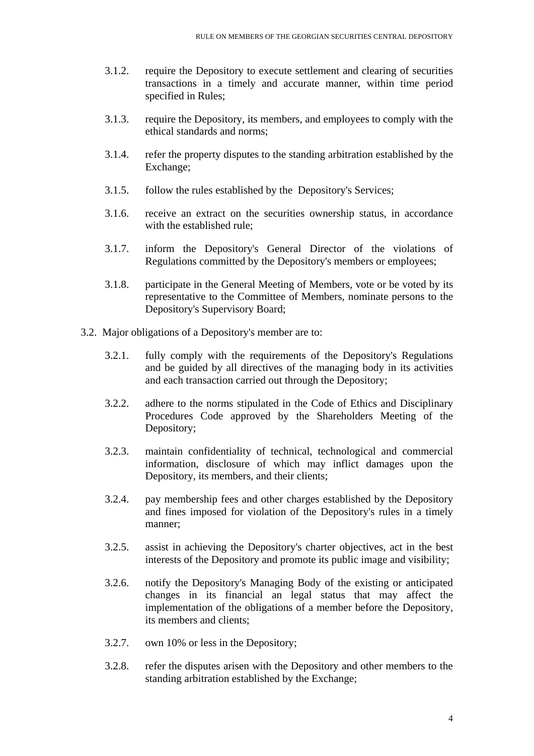- 3.1.2. require the Depository to execute settlement and clearing of securities transactions in a timely and accurate manner, within time period specified in Rules;
- 3.1.3. require the Depository, its members, and employees to comply with the ethical standards and norms;
- 3.1.4. refer the property disputes to the standing arbitration established by the Exchange;
- 3.1.5. follow the rules established by the Depository's Services;
- 3.1.6. receive an extract on the securities ownership status, in accordance with the established rule;
- 3.1.7. inform the Depository's General Director of the violations of Regulations committed by the Depository's members or employees;
- 3.1.8. participate in the General Meeting of Members, vote or be voted by its representative to the Committee of Members, nominate persons to the Depository's Supervisory Board;
- 3.2. Major obligations of a Depository's member are to:
	- 3.2.1. fully comply with the requirements of the Depository's Regulations and be guided by all directives of the managing body in its activities and each transaction carried out through the Depository;
	- 3.2.2. adhere to the norms stipulated in the Code of Ethics and Disciplinary Procedures Code approved by the Shareholders Meeting of the Depository;
	- 3.2.3. maintain confidentiality of technical, technological and commercial information, disclosure of which may inflict damages upon the Depository, its members, and their clients;
	- 3.2.4. pay membership fees and other charges established by the Depository and fines imposed for violation of the Depository's rules in a timely manner;
	- 3.2.5. assist in achieving the Depository's charter objectives, act in the best interests of the Depository and promote its public image and visibility;
	- 3.2.6. notify the Depository's Managing Body of the existing or anticipated changes in its financial an legal status that may affect the implementation of the obligations of a member before the Depository, its members and clients;
	- 3.2.7. own 10% or less in the Depository;
	- 3.2.8. refer the disputes arisen with the Depository and other members to the standing arbitration established by the Exchange;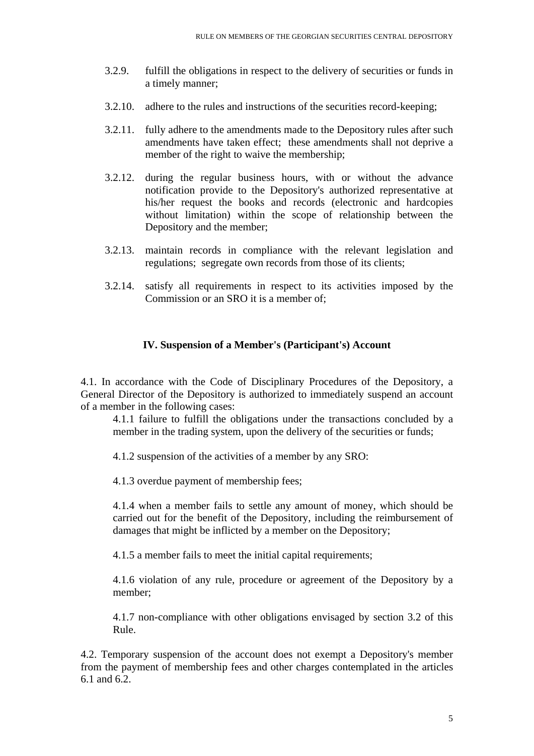- 3.2.9. fulfill the obligations in respect to the delivery of securities or funds in a timely manner;
- 3.2.10. adhere to the rules and instructions of the securities record-keeping;
- 3.2.11. fully adhere to the amendments made to the Depository rules after such amendments have taken effect; these amendments shall not deprive a member of the right to waive the membership;
- 3.2.12. during the regular business hours, with or without the advance notification provide to the Depository's authorized representative at his/her request the books and records (electronic and hardcopies without limitation) within the scope of relationship between the Depository and the member;
- 3.2.13. maintain records in compliance with the relevant legislation and regulations; segregate own records from those of its clients;
- 3.2.14. satisfy all requirements in respect to its activities imposed by the Commission or an SRO it is a member of;

#### **IV. Suspension of a Member's (Participant's) Account**

4.1. In accordance with the Code of Disciplinary Procedures of the Depository, a General Director of the Depository is authorized to immediately suspend an account of a member in the following cases:

4.1.1 failure to fulfill the obligations under the transactions concluded by a member in the trading system, upon the delivery of the securities or funds;

4.1.2 suspension of the activities of a member by any SRO:

4.1.3 overdue payment of membership fees;

4.1.4 when a member fails to settle any amount of money, which should be carried out for the benefit of the Depository, including the reimbursement of damages that might be inflicted by a member on the Depository;

4.1.5 a member fails to meet the initial capital requirements;

4.1.6 violation of any rule, procedure or agreement of the Depository by a member;

4.1.7 non-compliance with other obligations envisaged by section 3.2 of this Rule.

4.2. Temporary suspension of the account does not exempt a Depository's member from the payment of membership fees and other charges contemplated in the articles 6.1 and 6.2.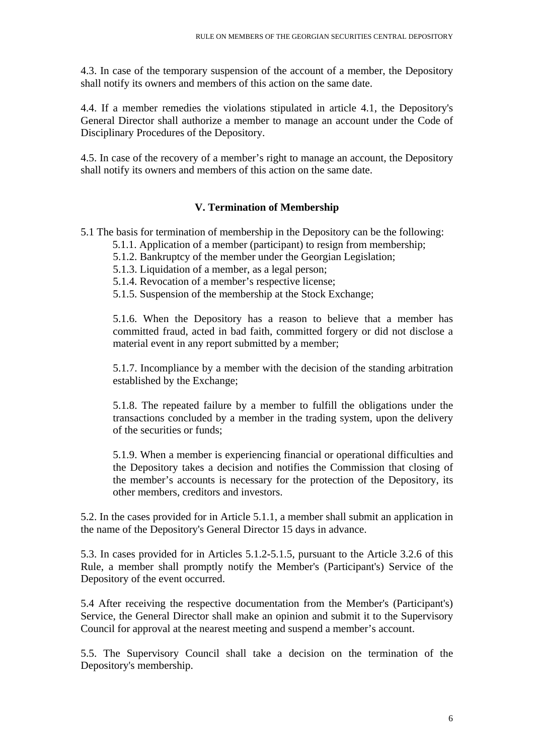4.3. In case of the temporary suspension of the account of a member, the Depository shall notify its owners and members of this action on the same date.

4.4. If a member remedies the violations stipulated in article 4.1, the Depository's General Director shall authorize a member to manage an account under the Code of Disciplinary Procedures of the Depository.

4.5. In case of the recovery of a member's right to manage an account, the Depository shall notify its owners and members of this action on the same date.

## **V. Termination of Membership**

- 5.1 The basis for termination of membership in the Depository can be the following:
	- 5.1.1. Application of a member (participant) to resign from membership;
	- 5.1.2. Bankruptcy of the member under the Georgian Legislation;
	- 5.1.3. Liquidation of a member, as a legal person;
	- 5.1.4. Revocation of a member's respective license;
	- 5.1.5. Suspension of the membership at the Stock Exchange;

5.1.6. When the Depository has a reason to believe that a member has committed fraud, acted in bad faith, committed forgery or did not disclose a material event in any report submitted by a member;

5.1.7. Incompliance by a member with the decision of the standing arbitration established by the Exchange;

5.1.8. The repeated failure by a member to fulfill the obligations under the transactions concluded by a member in the trading system, upon the delivery of the securities or funds;

5.1.9. When a member is experiencing financial or operational difficulties and the Depository takes a decision and notifies the Commission that closing of the member's accounts is necessary for the protection of the Depository, its other members, creditors and investors.

5.2. In the cases provided for in Article 5.1.1, a member shall submit an application in the name of the Depository's General Director 15 days in advance.

5.3. In cases provided for in Articles 5.1.2-5.1.5, pursuant to the Article 3.2.6 of this Rule, a member shall promptly notify the Member's (Participant's) Service of the Depository of the event occurred.

5.4 After receiving the respective documentation from the Member's (Participant's) Service, the General Director shall make an opinion and submit it to the Supervisory Council for approval at the nearest meeting and suspend a member's account.

5.5. The Supervisory Council shall take a decision on the termination of the Depository's membership.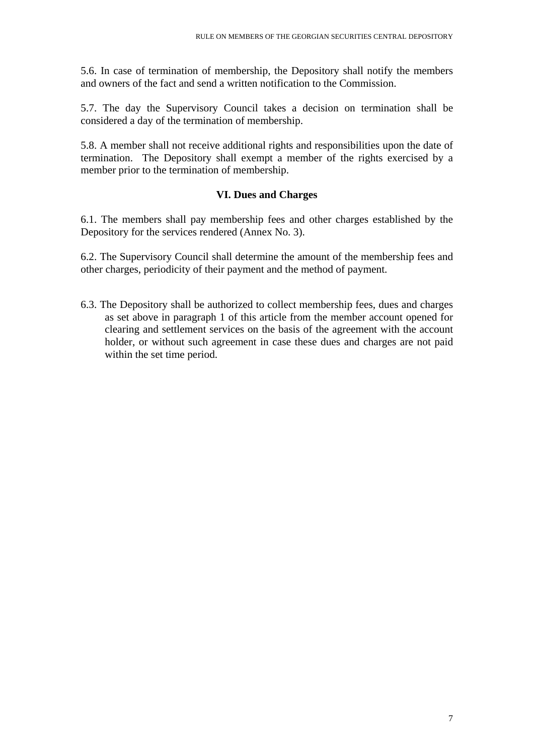5.6. In case of termination of membership, the Depository shall notify the members and owners of the fact and send a written notification to the Commission.

5.7. The day the Supervisory Council takes a decision on termination shall be considered a day of the termination of membership.

5.8. A member shall not receive additional rights and responsibilities upon the date of termination. The Depository shall exempt a member of the rights exercised by a member prior to the termination of membership.

## **VI. Dues and Charges**

6.1. The members shall pay membership fees and other charges established by the Depository for the services rendered (Annex No. 3).

6.2. The Supervisory Council shall determine the amount of the membership fees and other charges, periodicity of their payment and the method of payment.

6.3. The Depository shall be authorized to collect membership fees, dues and charges as set above in paragraph 1 of this article from the member account opened for clearing and settlement services on the basis of the agreement with the account holder, or without such agreement in case these dues and charges are not paid within the set time period.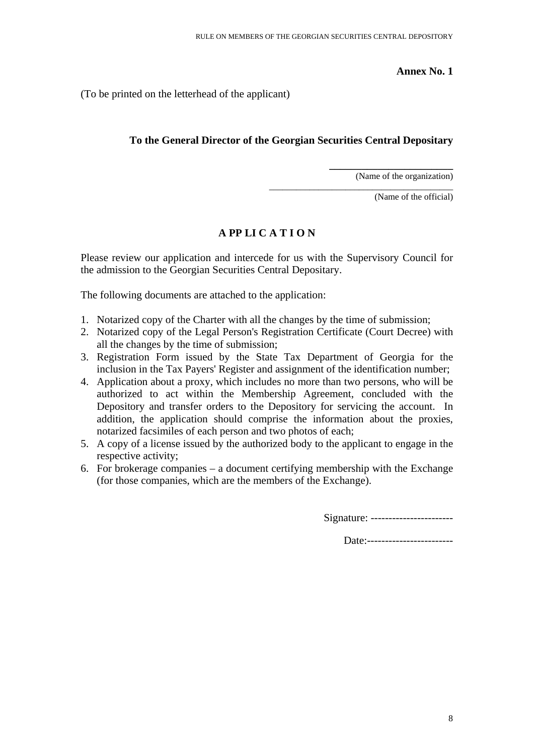**Annex No. 1** 

(To be printed on the letterhead of the applicant)

## **To the General Director of the Georgian Securities Central Depositary**

(Name of the organization)

**\_\_\_\_\_\_\_\_\_\_\_\_\_\_\_\_\_\_\_\_\_\_\_** 

\_\_\_\_\_\_\_\_\_\_\_\_\_\_\_\_\_\_\_\_\_\_\_\_\_\_\_\_\_\_\_\_\_\_\_\_\_\_\_\_\_

(Name of the official)

## **A PP LI C A T I O N**

Please review our application and intercede for us with the Supervisory Council for the admission to the Georgian Securities Central Depositary.

The following documents are attached to the application:

- 1. Notarized copy of the Charter with all the changes by the time of submission;
- 2. Notarized copy of the Legal Person's Registration Certificate (Court Decree) with all the changes by the time of submission;
- 3. Registration Form issued by the State Tax Department of Georgia for the inclusion in the Tax Payers' Register and assignment of the identification number;
- 4. Application about a proxy, which includes no more than two persons, who will be authorized to act within the Membership Agreement, concluded with the Depository and transfer orders to the Depository for servicing the account. In addition, the application should comprise the information about the proxies, notarized facsimiles of each person and two photos of each;
- 5. A copy of a license issued by the authorized body to the applicant to engage in the respective activity;
- 6. For brokerage companies a document certifying membership with the Exchange (for those companies, which are the members of the Exchange).

Signature: -----------------------

Date:--------------------------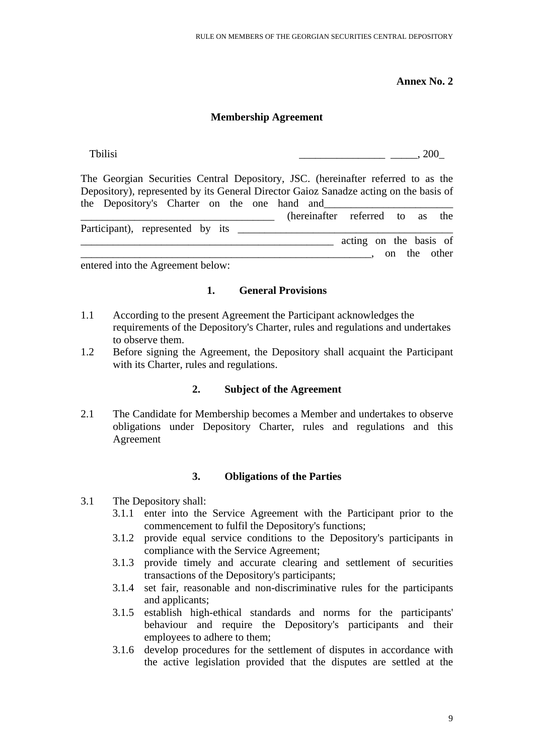**Annex No. 2** 

### **Membership Agreement**

Tbilisi  $\sim$  200 The Georgian Securities Central Depository, JSC. (hereinafter referred to as the Depository), represented by its General Director Gaioz Sanadze acting on the basis of the Depository's Charter on the one hand and \_\_\_\_\_\_\_\_\_\_\_\_\_\_\_\_\_\_\_\_\_\_\_\_\_\_\_\_\_\_\_\_\_\_\_\_ (hereinafter referred to as the Participant), represented by its \_\_\_\_\_\_\_\_\_\_\_\_\_\_\_\_\_\_\_\_\_\_\_\_\_\_\_\_\_\_\_\_\_\_\_\_\_\_\_\_  $\alpha$  acting on the basis of  $\overline{\phantom{a}}$  on the other

entered into the Agreement below:

### **1. General Provisions**

- 1.1 According to the present Agreement the Participant acknowledges the requirements of the Depository's Charter, rules and regulations and undertakes to observe them.
- 1.2 Before signing the Agreement, the Depository shall acquaint the Participant with its Charter, rules and regulations.

### **2. Subject of the Agreement**

2.1 The Candidate for Membership becomes a Member and undertakes to observe obligations under Depository Charter, rules and regulations and this Agreement

### **3. Obligations of the Parties**

- 3.1 The Depository shall:
	- 3.1.1 enter into the Service Agreement with the Participant prior to the commencement to fulfil the Depository's functions;
	- 3.1.2 provide equal service conditions to the Depository's participants in compliance with the Service Agreement;
	- 3.1.3 provide timely and accurate clearing and settlement of securities transactions of the Depository's participants;
	- 3.1.4 set fair, reasonable and non-discriminative rules for the participants and applicants;
	- 3.1.5 establish high-ethical standards and norms for the participants' behaviour and require the Depository's participants and their employees to adhere to them;
	- 3.1.6 develop procedures for the settlement of disputes in accordance with the active legislation provided that the disputes are settled at the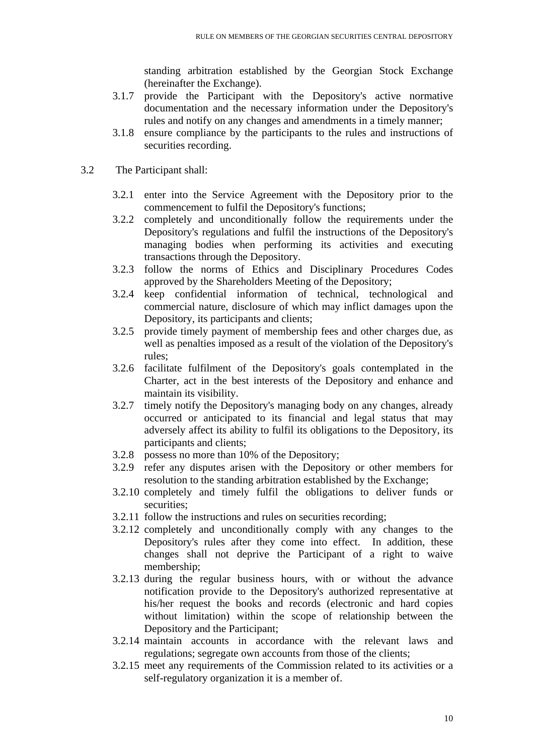standing arbitration established by the Georgian Stock Exchange (hereinafter the Exchange).

- 3.1.7 provide the Participant with the Depository's active normative documentation and the necessary information under the Depository's rules and notify on any changes and amendments in a timely manner;
- 3.1.8 ensure compliance by the participants to the rules and instructions of securities recording.
- 3.2 The Participant shall:
	- 3.2.1 enter into the Service Agreement with the Depository prior to the commencement to fulfil the Depository's functions;
	- 3.2.2 completely and unconditionally follow the requirements under the Depository's regulations and fulfil the instructions of the Depository's managing bodies when performing its activities and executing transactions through the Depository.
	- 3.2.3 follow the norms of Ethics and Disciplinary Procedures Codes approved by the Shareholders Meeting of the Depository;
	- 3.2.4 keep confidential information of technical, technological and commercial nature, disclosure of which may inflict damages upon the Depository, its participants and clients;
	- 3.2.5 provide timely payment of membership fees and other charges due, as well as penalties imposed as a result of the violation of the Depository's rules;
	- 3.2.6 facilitate fulfilment of the Depository's goals contemplated in the Charter, act in the best interests of the Depository and enhance and maintain its visibility.
	- 3.2.7 timely notify the Depository's managing body on any changes, already occurred or anticipated to its financial and legal status that may adversely affect its ability to fulfil its obligations to the Depository, its participants and clients;
	- 3.2.8 possess no more than 10% of the Depository;
	- 3.2.9 refer any disputes arisen with the Depository or other members for resolution to the standing arbitration established by the Exchange;
	- 3.2.10 completely and timely fulfil the obligations to deliver funds or securities;
	- 3.2.11 follow the instructions and rules on securities recording;
	- 3.2.12 completely and unconditionally comply with any changes to the Depository's rules after they come into effect. In addition, these changes shall not deprive the Participant of a right to waive membership;
	- 3.2.13 during the regular business hours, with or without the advance notification provide to the Depository's authorized representative at his/her request the books and records (electronic and hard copies without limitation) within the scope of relationship between the Depository and the Participant;
	- 3.2.14 maintain accounts in accordance with the relevant laws and regulations; segregate own accounts from those of the clients;
	- 3.2.15 meet any requirements of the Commission related to its activities or a self-regulatory organization it is a member of.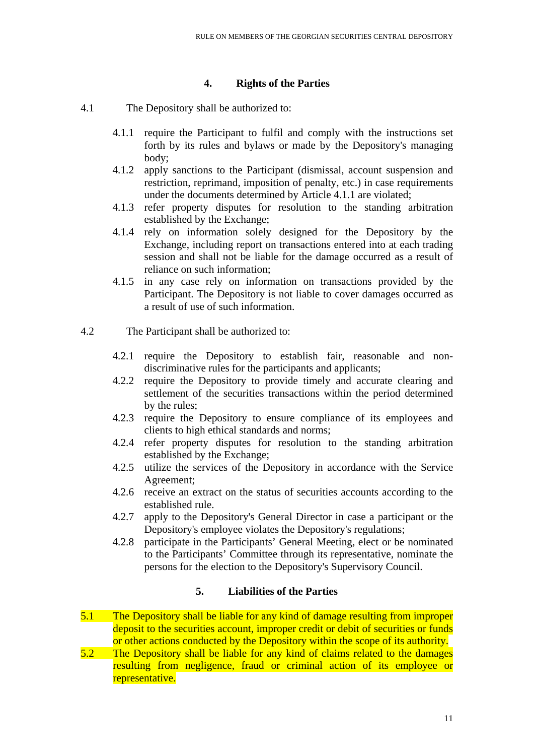### **4. Rights of the Parties**

- 4.1 The Depository shall be authorized to:
	- 4.1.1 require the Participant to fulfil and comply with the instructions set forth by its rules and bylaws or made by the Depository's managing body;
	- 4.1.2 apply sanctions to the Participant (dismissal, account suspension and restriction, reprimand, imposition of penalty, etc.) in case requirements under the documents determined by Article 4.1.1 are violated;
	- 4.1.3 refer property disputes for resolution to the standing arbitration established by the Exchange;
	- 4.1.4 rely on information solely designed for the Depository by the Exchange, including report on transactions entered into at each trading session and shall not be liable for the damage occurred as a result of reliance on such information;
	- 4.1.5 in any case rely on information on transactions provided by the Participant. The Depository is not liable to cover damages occurred as a result of use of such information.
- 4.2 The Participant shall be authorized to:
	- 4.2.1 require the Depository to establish fair, reasonable and nondiscriminative rules for the participants and applicants;
	- 4.2.2 require the Depository to provide timely and accurate clearing and settlement of the securities transactions within the period determined by the rules;
	- 4.2.3 require the Depository to ensure compliance of its employees and clients to high ethical standards and norms;
	- 4.2.4 refer property disputes for resolution to the standing arbitration established by the Exchange;
	- 4.2.5 utilize the services of the Depository in accordance with the Service Agreement;
	- 4.2.6 receive an extract on the status of securities accounts according to the established rule.
	- 4.2.7 apply to the Depository's General Director in case a participant or the Depository's employee violates the Depository's regulations;
	- 4.2.8 participate in the Participants' General Meeting, elect or be nominated to the Participants' Committee through its representative, nominate the persons for the election to the Depository's Supervisory Council.

### **5. Liabilities of the Parties**

- 5.1 The Depository shall be liable for any kind of damage resulting from improper deposit to the securities account, improper credit or debit of securities or funds or other actions conducted by the Depository within the scope of its authority.
- 5.2 The Depository shall be liable for any kind of claims related to the damages resulting from negligence, fraud or criminal action of its employee or representative.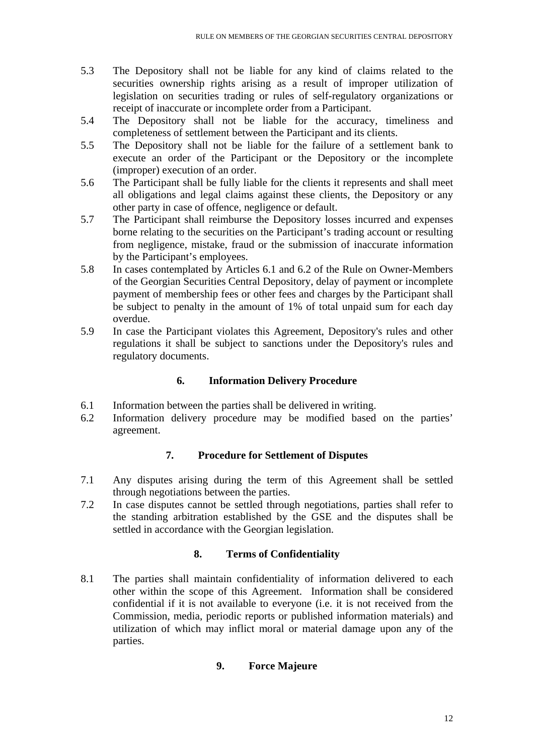- 5.3 The Depository shall not be liable for any kind of claims related to the securities ownership rights arising as a result of improper utilization of legislation on securities trading or rules of self-regulatory organizations or receipt of inaccurate or incomplete order from a Participant.
- 5.4 The Depository shall not be liable for the accuracy, timeliness and completeness of settlement between the Participant and its clients.
- 5.5 The Depository shall not be liable for the failure of a settlement bank to execute an order of the Participant or the Depository or the incomplete (improper) execution of an order.
- 5.6 The Participant shall be fully liable for the clients it represents and shall meet all obligations and legal claims against these clients, the Depository or any other party in case of offence, negligence or default.
- 5.7 The Participant shall reimburse the Depository losses incurred and expenses borne relating to the securities on the Participant's trading account or resulting from negligence, mistake, fraud or the submission of inaccurate information by the Participant's employees.
- 5.8 In cases contemplated by Articles 6.1 and 6.2 of the Rule on Owner-Members of the Georgian Securities Central Depository, delay of payment or incomplete payment of membership fees or other fees and charges by the Participant shall be subject to penalty in the amount of 1% of total unpaid sum for each day overdue.
- 5.9 In case the Participant violates this Agreement, Depository's rules and other regulations it shall be subject to sanctions under the Depository's rules and regulatory documents.

## **6. Information Delivery Procedure**

- 6.1 Information between the parties shall be delivered in writing.
- 6.2 Information delivery procedure may be modified based on the parties' agreement.

## **7. Procedure for Settlement of Disputes**

- 7.1 Any disputes arising during the term of this Agreement shall be settled through negotiations between the parties.
- 7.2 In case disputes cannot be settled through negotiations, parties shall refer to the standing arbitration established by the GSE and the disputes shall be settled in accordance with the Georgian legislation.

### **8. Terms of Confidentiality**

8.1 The parties shall maintain confidentiality of information delivered to each other within the scope of this Agreement. Information shall be considered confidential if it is not available to everyone (i.e. it is not received from the Commission, media, periodic reports or published information materials) and utilization of which may inflict moral or material damage upon any of the parties.

## **9. Force Majeure**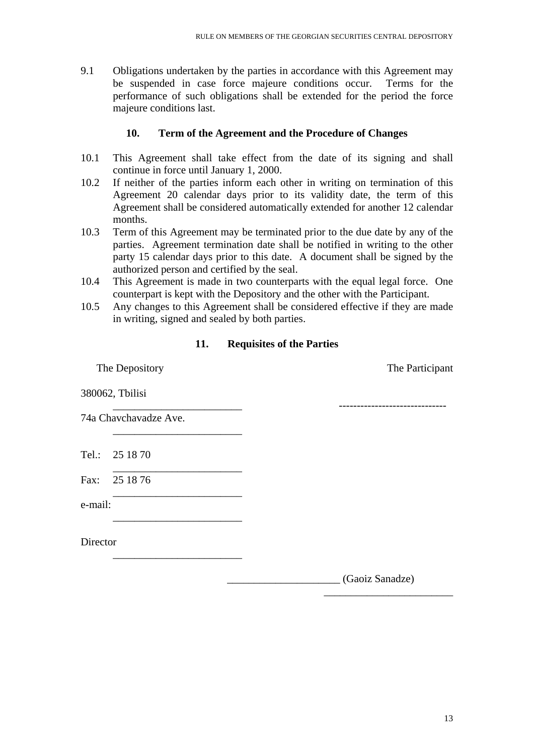9.1 Obligations undertaken by the parties in accordance with this Agreement may be suspended in case force majeure conditions occur. Terms for the performance of such obligations shall be extended for the period the force majeure conditions last.

### **10. Term of the Agreement and the Procedure of Changes**

- 10.1 This Agreement shall take effect from the date of its signing and shall continue in force until January 1, 2000.
- 10.2 If neither of the parties inform each other in writing on termination of this Agreement 20 calendar days prior to its validity date, the term of this Agreement shall be considered automatically extended for another 12 calendar months.
- 10.3 Term of this Agreement may be terminated prior to the due date by any of the parties. Agreement termination date shall be notified in writing to the other party 15 calendar days prior to this date. A document shall be signed by the authorized person and certified by the seal.
- 10.4 This Agreement is made in two counterparts with the equal legal force. One counterpart is kept with the Depository and the other with the Participant.
- 10.5 Any changes to this Agreement shall be considered effective if they are made in writing, signed and sealed by both parties.

## **11. Requisites of the Parties**

| The Depository |                       | The Participant |
|----------------|-----------------------|-----------------|
|                | 380062, Tbilisi       |                 |
|                | 74a Chavchavadze Ave. |                 |
|                | Tel.: 25 18 70        |                 |
|                | Fax: 25 18 76         |                 |
| e-mail:        |                       |                 |
| Director       |                       |                 |
|                |                       | (Gaoiz Sanadze) |

 $\frac{1}{\sqrt{2}}$  ,  $\frac{1}{\sqrt{2}}$  ,  $\frac{1}{\sqrt{2}}$  ,  $\frac{1}{\sqrt{2}}$  ,  $\frac{1}{\sqrt{2}}$  ,  $\frac{1}{\sqrt{2}}$  ,  $\frac{1}{\sqrt{2}}$  ,  $\frac{1}{\sqrt{2}}$  ,  $\frac{1}{\sqrt{2}}$  ,  $\frac{1}{\sqrt{2}}$  ,  $\frac{1}{\sqrt{2}}$  ,  $\frac{1}{\sqrt{2}}$  ,  $\frac{1}{\sqrt{2}}$  ,  $\frac{1}{\sqrt{2}}$  ,  $\frac{1}{\sqrt{2}}$